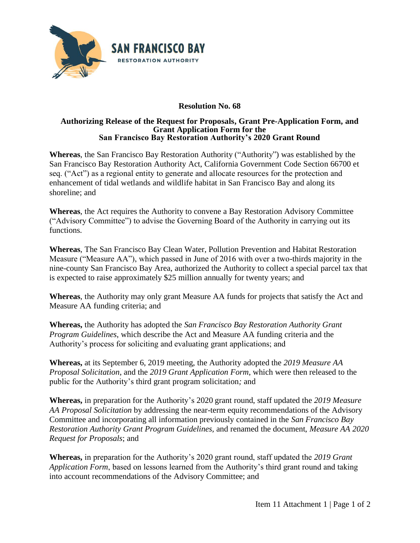

## **Resolution No. 68**

## **Authorizing Release of the Request for Proposals, Grant Pre-Application Form, and Grant Application Form for the San Francisco Bay Restoration Authority's 2020 Grant Round**

**Whereas**, the San Francisco Bay Restoration Authority ("Authority") was established by the San Francisco Bay Restoration Authority Act, California Government Code Section 66700 et seq. ("Act") as a regional entity to generate and allocate resources for the protection and enhancement of tidal wetlands and wildlife habitat in San Francisco Bay and along its shoreline; and

**Whereas**, the Act requires the Authority to convene a Bay Restoration Advisory Committee ("Advisory Committee") to advise the Governing Board of the Authority in carrying out its functions.

**Whereas**, The San Francisco Bay Clean Water, Pollution Prevention and Habitat Restoration Measure ("Measure AA"), which passed in June of 2016 with over a two-thirds majority in the nine-county San Francisco Bay Area, authorized the Authority to collect a special parcel tax that is expected to raise approximately \$25 million annually for twenty years; and

**Whereas**, the Authority may only grant Measure AA funds for projects that satisfy the Act and Measure AA funding criteria; and

**Whereas,** the Authority has adopted the *San Francisco Bay Restoration Authority Grant Program Guidelines*, which describe the Act and Measure AA funding criteria and the Authority's process for soliciting and evaluating grant applications; and

**Whereas,** at its September 6, 2019 meeting, the Authority adopted the *2019 Measure AA Proposal Solicitation*, and the *2019 Grant Application Form*, which were then released to the public for the Authority's third grant program solicitation*;* and

**Whereas,** in preparation for the Authority's 2020 grant round, staff updated the *2019 Measure AA Proposal Solicitation* by addressing the near-term equity recommendations of the Advisory Committee and incorporating all information previously contained in the *San Francisco Bay Restoration Authority Grant Program Guidelines,* and renamed the document, *Measure AA 2020 Request for Proposals*; and

**Whereas,** in preparation for the Authority's 2020 grant round, staff updated the *2019 Grant Application Form*, based on lessons learned from the Authority's third grant round and taking into account recommendations of the Advisory Committee; and